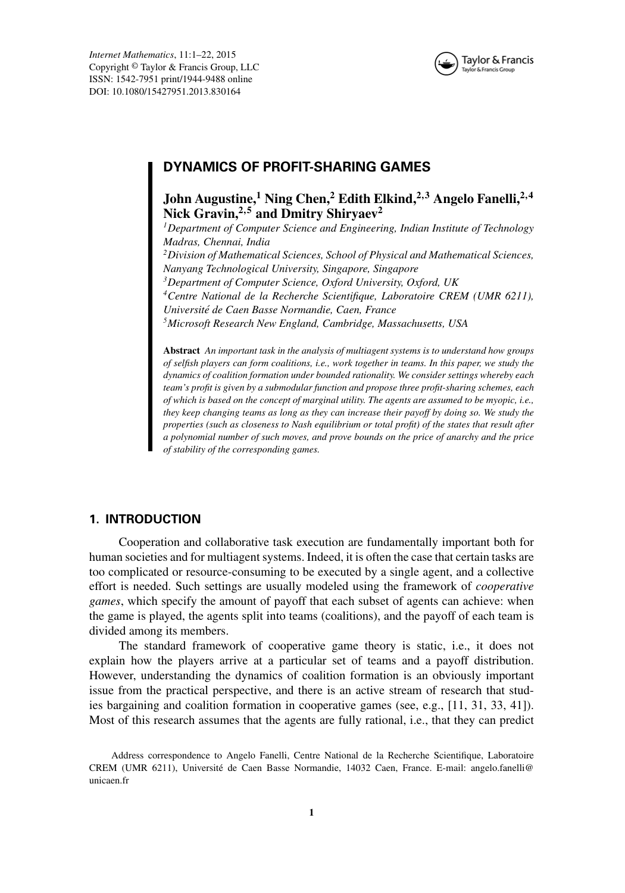



# **DYNAMICS OF PROFIT-SHARING GAMES**

# **John Augustine,1 Ning Chen,2 Edith Elkind,2***,***<sup>3</sup> Angelo Fanelli,<sup>2</sup>***,***<sup>4</sup> Nick Gravin,2***,***<sup>5</sup> and Dmitry Shiryaev2**

*1Department of Computer Science and Engineering, Indian Institute of Technology Madras, Chennai, India 2Division of Mathematical Sciences, School of Physical and Mathematical Sciences, Nanyang Technological University, Singapore, Singapore 3Department of Computer Science, Oxford University, Oxford, UK 4Centre National de la Recherche Scientifique, Laboratoire CREM (UMR 6211), Universite de Caen Basse Normandie, Caen, France ´ 5Microsoft Research New England, Cambridge, Massachusetts, USA*

**Abstract** *An important task in the analysis of multiagent systems is to understand how groups of selfish players can form coalitions, i.e., work together in teams. In this paper, we study the dynamics of coalition formation under bounded rationality. We consider settings whereby each team's profit is given by a submodular function and propose three profit-sharing schemes, each of which is based on the concept of marginal utility. The agents are assumed to be myopic, i.e., they keep changing teams as long as they can increase their payoff by doing so. We study the properties (such as closeness to Nash equilibrium or total profit) of the states that result after a polynomial number of such moves, and prove bounds on the price of anarchy and the price of stability of the corresponding games.*

# **1. INTRODUCTION**

Cooperation and collaborative task execution are fundamentally important both for human societies and for multiagent systems. Indeed, it is often the case that certain tasks are too complicated or resource-consuming to be executed by a single agent, and a collective effort is needed. Such settings are usually modeled using the framework of *cooperative games*, which specify the amount of payoff that each subset of agents can achieve: when the game is played, the agents split into teams (coalitions), and the payoff of each team is divided among its members.

The standard framework of cooperative game theory is static, i.e., it does not explain how the players arrive at a particular set of teams and a payoff distribution. However, understanding the dynamics of coalition formation is an obviously important issue from the practical perspective, and there is an active stream of research that studies bargaining and coalition formation in cooperative games (see, e.g., [11, 31, 33, 41]). Most of this research assumes that the agents are fully rational, i.e., that they can predict

Address correspondence to Angelo Fanelli, Centre National de la Recherche Scientifique, Laboratoire CREM (UMR 6211), Universite de Caen Basse Normandie, 14032 Caen, France. E-mail: angelo.fanelli@ ´ unicaen.fr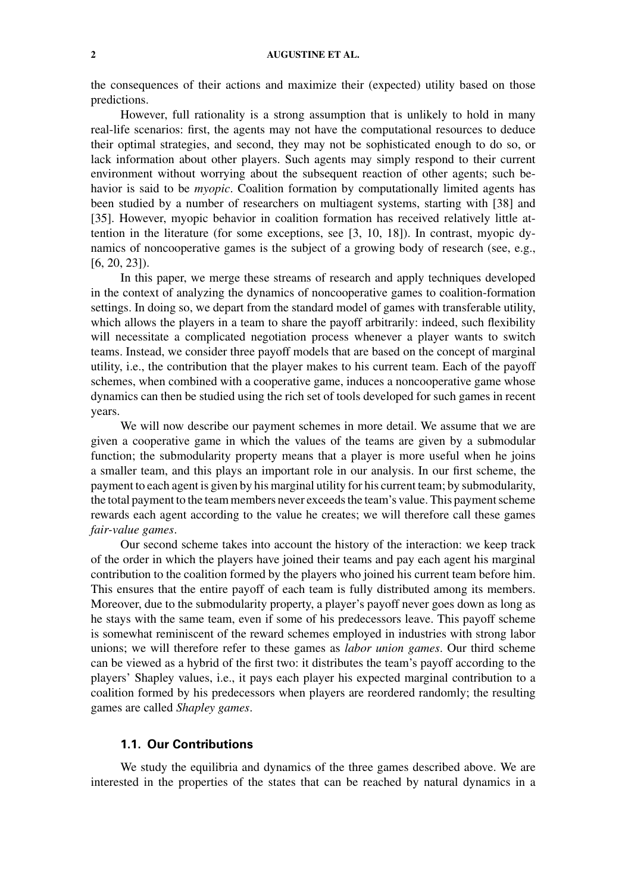the consequences of their actions and maximize their (expected) utility based on those predictions.

However, full rationality is a strong assumption that is unlikely to hold in many real-life scenarios: first, the agents may not have the computational resources to deduce their optimal strategies, and second, they may not be sophisticated enough to do so, or lack information about other players. Such agents may simply respond to their current environment without worrying about the subsequent reaction of other agents; such behavior is said to be *myopic*. Coalition formation by computationally limited agents has been studied by a number of researchers on multiagent systems, starting with [38] and [35]. However, myopic behavior in coalition formation has received relatively little attention in the literature (for some exceptions, see [3, 10, 18]). In contrast, myopic dynamics of noncooperative games is the subject of a growing body of research (see, e.g., [6, 20, 23]).

In this paper, we merge these streams of research and apply techniques developed in the context of analyzing the dynamics of noncooperative games to coalition-formation settings. In doing so, we depart from the standard model of games with transferable utility, which allows the players in a team to share the payoff arbitrarily: indeed, such flexibility will necessitate a complicated negotiation process whenever a player wants to switch teams. Instead, we consider three payoff models that are based on the concept of marginal utility, i.e., the contribution that the player makes to his current team. Each of the payoff schemes, when combined with a cooperative game, induces a noncooperative game whose dynamics can then be studied using the rich set of tools developed for such games in recent years.

We will now describe our payment schemes in more detail. We assume that we are given a cooperative game in which the values of the teams are given by a submodular function; the submodularity property means that a player is more useful when he joins a smaller team, and this plays an important role in our analysis. In our first scheme, the payment to each agent is given by his marginal utility for his current team; by submodularity, the total payment to the team members never exceeds the team's value. This payment scheme rewards each agent according to the value he creates; we will therefore call these games *fair-value games*.

Our second scheme takes into account the history of the interaction: we keep track of the order in which the players have joined their teams and pay each agent his marginal contribution to the coalition formed by the players who joined his current team before him. This ensures that the entire payoff of each team is fully distributed among its members. Moreover, due to the submodularity property, a player's payoff never goes down as long as he stays with the same team, even if some of his predecessors leave. This payoff scheme is somewhat reminiscent of the reward schemes employed in industries with strong labor unions; we will therefore refer to these games as *labor union games*. Our third scheme can be viewed as a hybrid of the first two: it distributes the team's payoff according to the players' Shapley values, i.e., it pays each player his expected marginal contribution to a coalition formed by his predecessors when players are reordered randomly; the resulting games are called *Shapley games*.

### **1.1. Our Contributions**

We study the equilibria and dynamics of the three games described above. We are interested in the properties of the states that can be reached by natural dynamics in a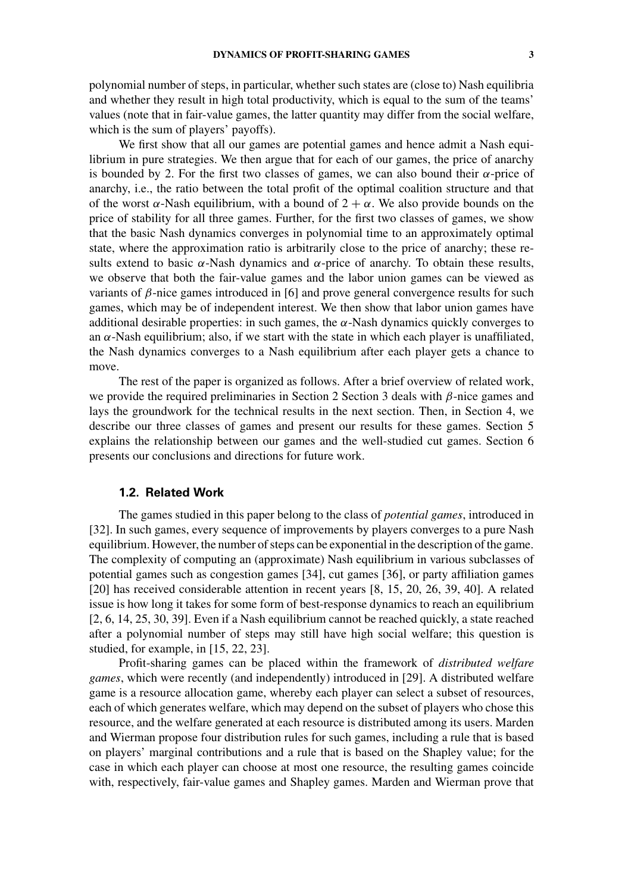polynomial number of steps, in particular, whether such states are (close to) Nash equilibria and whether they result in high total productivity, which is equal to the sum of the teams' values (note that in fair-value games, the latter quantity may differ from the social welfare, which is the sum of players' payoffs).

We first show that all our games are potential games and hence admit a Nash equilibrium in pure strategies. We then argue that for each of our games, the price of anarchy is bounded by 2. For the first two classes of games, we can also bound their α-price of anarchy, i.e., the ratio between the total profit of the optimal coalition structure and that of the worst  $\alpha$ -Nash equilibrium, with a bound of  $2 + \alpha$ . We also provide bounds on the price of stability for all three games. Further, for the first two classes of games, we show that the basic Nash dynamics converges in polynomial time to an approximately optimal state, where the approximation ratio is arbitrarily close to the price of anarchy; these results extend to basic  $\alpha$ -Nash dynamics and  $\alpha$ -price of anarchy. To obtain these results, we observe that both the fair-value games and the labor union games can be viewed as variants of β-nice games introduced in [6] and prove general convergence results for such games, which may be of independent interest. We then show that labor union games have additional desirable properties: in such games, the  $\alpha$ -Nash dynamics quickly converges to an  $\alpha$ -Nash equilibrium; also, if we start with the state in which each player is unaffiliated, the Nash dynamics converges to a Nash equilibrium after each player gets a chance to move.

The rest of the paper is organized as follows. After a brief overview of related work, we provide the required preliminaries in Section 2 Section 3 deals with  $\beta$ -nice games and lays the groundwork for the technical results in the next section. Then, in Section 4, we describe our three classes of games and present our results for these games. Section 5 explains the relationship between our games and the well-studied cut games. Section 6 presents our conclusions and directions for future work.

#### **1.2. Related Work**

The games studied in this paper belong to the class of *potential games*, introduced in [32]. In such games, every sequence of improvements by players converges to a pure Nash equilibrium. However, the number of steps can be exponential in the description of the game. The complexity of computing an (approximate) Nash equilibrium in various subclasses of potential games such as congestion games [34], cut games [36], or party affiliation games [20] has received considerable attention in recent years [8, 15, 20, 26, 39, 40]. A related issue is how long it takes for some form of best-response dynamics to reach an equilibrium [2, 6, 14, 25, 30, 39]. Even if a Nash equilibrium cannot be reached quickly, a state reached after a polynomial number of steps may still have high social welfare; this question is studied, for example, in [15, 22, 23].

Profit-sharing games can be placed within the framework of *distributed welfare games*, which were recently (and independently) introduced in [29]. A distributed welfare game is a resource allocation game, whereby each player can select a subset of resources, each of which generates welfare, which may depend on the subset of players who chose this resource, and the welfare generated at each resource is distributed among its users. Marden and Wierman propose four distribution rules for such games, including a rule that is based on players' marginal contributions and a rule that is based on the Shapley value; for the case in which each player can choose at most one resource, the resulting games coincide with, respectively, fair-value games and Shapley games. Marden and Wierman prove that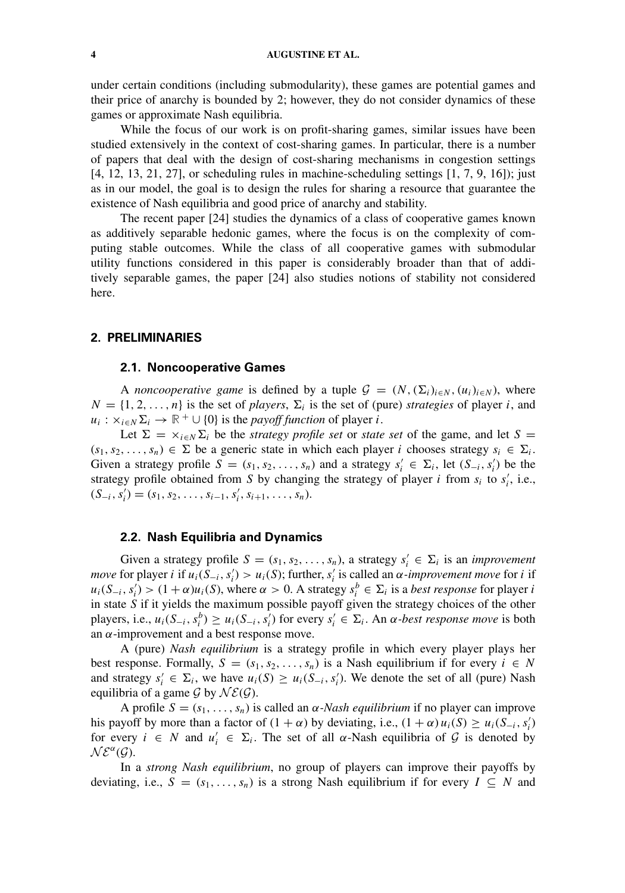under certain conditions (including submodularity), these games are potential games and their price of anarchy is bounded by 2; however, they do not consider dynamics of these games or approximate Nash equilibria.

While the focus of our work is on profit-sharing games, similar issues have been studied extensively in the context of cost-sharing games. In particular, there is a number of papers that deal with the design of cost-sharing mechanisms in congestion settings [4, 12, 13, 21, 27], or scheduling rules in machine-scheduling settings [1, 7, 9, 16]); just as in our model, the goal is to design the rules for sharing a resource that guarantee the existence of Nash equilibria and good price of anarchy and stability.

The recent paper [24] studies the dynamics of a class of cooperative games known as additively separable hedonic games, where the focus is on the complexity of computing stable outcomes. While the class of all cooperative games with submodular utility functions considered in this paper is considerably broader than that of additively separable games, the paper [24] also studies notions of stability not considered here.

# **2. PRELIMINARIES**

### **2.1. Noncooperative Games**

A *noncooperative game* is defined by a tuple  $G = (N, (\Sigma_i)_{i \in N}, (u_i)_{i \in N})$ , where  $N = \{1, 2, ..., n\}$  is the set of *players*,  $\Sigma_i$  is the set of (pure) *strategies* of player *i*, and  $u_i : \times_{i \in N} \Sigma_i \to \mathbb{R}^+ \cup \{0\}$  is the *payoff function* of player *i*.

Let  $\Sigma = \times_{i \in N} \Sigma_i$  be the *strategy profile set* or *state set* of the game, and let S =  $(s_1, s_2, \ldots, s_n) \in \Sigma$  be a generic state in which each player *i* chooses strategy  $s_i \in \Sigma_i$ . Given a strategy profile  $S = (s_1, s_2, \ldots, s_n)$  and a strategy  $s'_i \in \Sigma_i$ , let  $(S_{-i}, s'_i)$  be the strategy profile obtained from S by changing the strategy of player i from  $s_i$  to  $s'_i$ , i.e.,  $(S_{-i}, s'_i) = (s_1, s_2, \ldots, s_{i-1}, s'_i, s_{i+1}, \ldots, s_n).$ 

### **2.2. Nash Equilibria and Dynamics**

Given a strategy profile  $S = (s_1, s_2, \ldots, s_n)$ , a strategy  $s'_i \in \Sigma_i$  is an *improvement move* for player *i* if  $u_i(S_{-i}, s'_i) > u_i(S)$ ; further,  $s'_i$  is called an  $\alpha$ -*improvement move* for *i* if  $u_i(S_{-i}, s'_i) > (1 + \alpha)u_i(S)$ , where  $\alpha > 0$ . A strategy  $s_i^b \in \Sigma_i$  is a *best response* for player *i* in state  $S$  if it yields the maximum possible payoff given the strategy choices of the other players, i.e.,  $u_i(S_{-i}, s_i^b) \ge u_i(S_{-i}, s_i')$  for every  $s_i' \in \Sigma_i$ . An  $\alpha$ -best response move is both an  $\alpha$ -improvement and a best response move.

A (pure) *Nash equilibrium* is a strategy profile in which every player plays her best response. Formally,  $S = (s_1, s_2, \ldots, s_n)$  is a Nash equilibrium if for every  $i \in N$ and strategy  $s'_i \in \Sigma_i$ , we have  $u_i(S) \geq u_i(S_{-i}, s'_i)$ . We denote the set of all (pure) Nash equilibria of a game  $G$  by  $N\mathcal{E}(G)$ .

A profile  $S = (s_1, \ldots, s_n)$  is called an  $\alpha$ -Nash equilibrium if no player can improve his payoff by more than a factor of  $(1 + \alpha)$  by deviating, i.e.,  $(1 + \alpha)u_i(S) \ge u_i(S_{-i}, s'_i)$ for every  $i \in N$  and  $u'_i \in \Sigma_i$ . The set of all  $\alpha$ -Nash equilibria of  $\mathcal G$  is denoted by  $\mathcal{NE}^{\alpha}(\mathcal{G})$ .

In a *strong Nash equilibrium*, no group of players can improve their payoffs by deviating, i.e.,  $S = (s_1, \ldots, s_n)$  is a strong Nash equilibrium if for every  $I \subseteq N$  and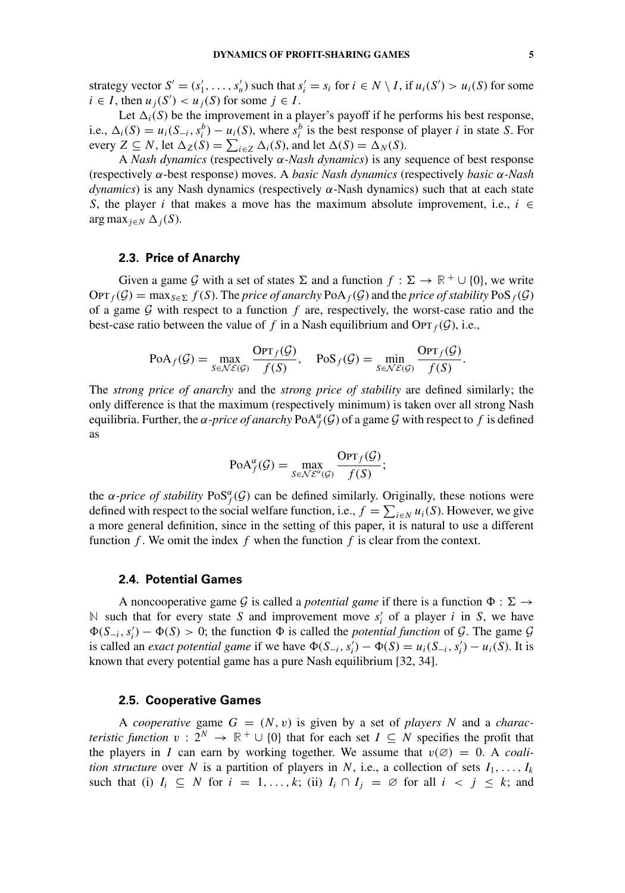strategy vector  $S' = (s'_1, \ldots, s'_n)$  such that  $s'_i = s_i$  for  $i \in N \setminus I$ , if  $u_i(S') > u_i(S)$  for some  $i \in I$ , then  $u_j(S') < u_j(S)$  for some  $j \in I$ .

Let  $\Delta_i(S)$  be the improvement in a player's payoff if he performs his best response, i.e.,  $\Delta_i(S) = u_i(S_{-i}, s_i^b) - u_i(S)$ , where  $s_i^b$  is the best response of player *i* in state *S*. For every  $Z \subseteq N$ , let  $\Delta_Z(S) = \sum_{i \in Z} \Delta_i(S)$ , and let  $\Delta(S) = \Delta_N(S)$ .

A *Nash dynamics* (respectively α*-Nash dynamics*) is any sequence of best response (respectively α-best response) moves. A *basic Nash dynamics* (respectively *basic* α*-Nash dynamics*) is any Nash dynamics (respectively α-Nash dynamics) such that at each state S, the player i that makes a move has the maximum absolute improvement, i.e.,  $i \in$ arg max $_{i\in N}$   $\Delta_i(S)$ .

### **2.3. Price of Anarchy**

Given a game G with a set of states  $\Sigma$  and a function  $f : \Sigma \to \mathbb{R}^+ \cup \{0\}$ , we write  $\text{OPT}_f(\mathcal{G}) = \max_{S \in \Sigma} f(S)$ . The *price of anarchy*  $\text{PoA}_f(\mathcal{G})$  and the *price of stability*  $\text{PoS}_f(\mathcal{G})$ of a game  $G$  with respect to a function  $f$  are, respectively, the worst-case ratio and the best-case ratio between the value of f in a Nash equilibrium and Opt $_f$  (G), i.e.,

$$
\text{PoA}_{f}(\mathcal{G}) = \max_{S \in \mathcal{NE}(\mathcal{G})} \frac{\text{Opt}_{f}(\mathcal{G})}{f(S)}, \quad \text{PoS}_{f}(\mathcal{G}) = \min_{S \in \mathcal{NE}(\mathcal{G})} \frac{\text{Opt}_{f}(\mathcal{G})}{f(S)}.
$$

The *strong price of anarchy* and the *strong price of stability* are defined similarly; the only difference is that the maximum (respectively minimum) is taken over all strong Nash equilibria. Further, the  $\alpha$ *-price of anarchy*  $PoA_f^{\alpha}(G)$  of a game  $G$  with respect to  $f$  is defined as

$$
\mathrm{PoA}^{\alpha}_{f}(\mathcal{G}) = \max_{S \in \mathcal{NE}^{\alpha}(\mathcal{G})} \frac{\mathrm{Opt}_{f}(\mathcal{G})}{f(S)};
$$

the  $\alpha$ -price of stability  $\text{PoS}^{\alpha}_{f}(\mathcal{G})$  can be defined similarly. Originally, these notions were defined with respect to the social welfare function, i.e.,  $f = \sum_{i \in N} u_i(S)$ . However, we give a more general definition, since in the setting of this paper, it is natural to use a different function  $f$ . We omit the index  $f$  when the function  $f$  is clear from the context.

### **2.4. Potential Games**

A noncooperative game G is called a *potential game* if there is a function  $\Phi : \Sigma \to$ N such that for every state S and improvement move  $s_i$  of a player i in S, we have  $\Phi(S_{-i}, s'_i) - \Phi(S) > 0$ ; the function  $\Phi$  is called the *potential function* of *G*. The game *G* is called an *exact potential game* if we have  $\Phi(S_{-i}, s'_i) - \Phi(S) = u_i(S_{-i}, s'_i) - u_i(S)$ . It is known that every potential game has a pure Nash equilibrium [32, 34].

### **2.5. Cooperative Games**

A *cooperative* game  $G = (N, v)$  is given by a set of *players* N and a *characteristic function*  $v : 2^N \to \mathbb{R}^+ \cup \{0\}$  that for each set  $I \subseteq N$  specifies the profit that the players in *I* can earn by working together. We assume that  $v(\emptyset) = 0$ . A *coalition structure* over N is a partition of players in N, i.e., a collection of sets  $I_1, \ldots, I_k$ such that (i)  $I_i \subseteq N$  for  $i = 1, ..., k$ ; (ii)  $I_i \cap I_j = \emptyset$  for all  $i < j \le k$ ; and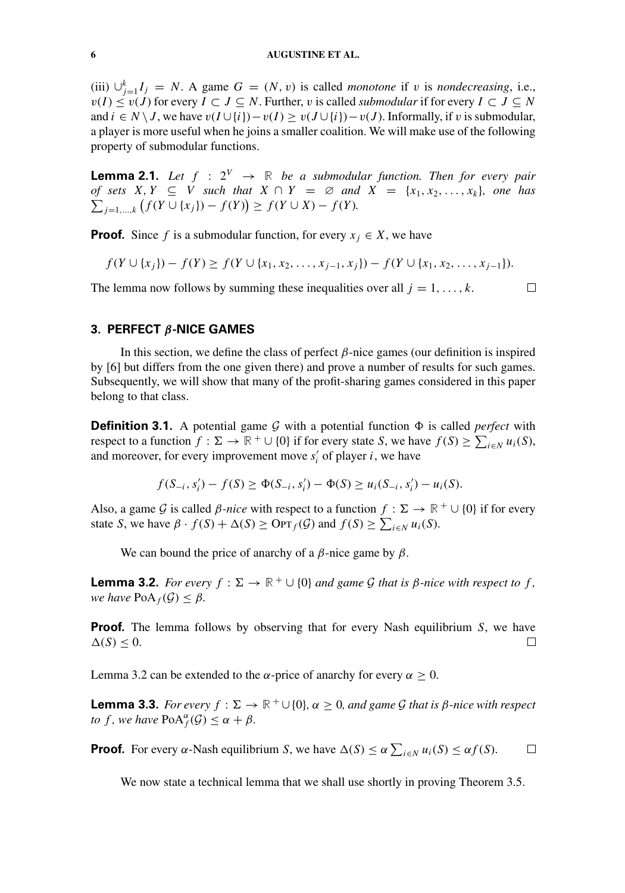(iii)  $\bigcup_{j=1}^{k} I_j = N$ . A game  $G = (N, v)$  is called *monotone* if v is *nondecreasing*, i.e.,  $v(I) \le v(J)$  for every  $I \subset J \subseteq N$ . Further, v is called *submodular* if for every  $I \subset J \subseteq N$ and  $i \in N \setminus J$ , we have  $v(I \cup \{i\}) - v(I) \ge v(J \cup \{i\}) - v(J)$ . Informally, if v is submodular, a player is more useful when he joins a smaller coalition. We will make use of the following property of submodular functions.

**Lemma 2.1.** Let  $f : 2^V \rightarrow \mathbb{R}$  be a submodular function. Then for every pair *of sets*  $X, Y \subseteq V$  *such that*  $X \cap Y = ∅$  *and*  $X = \{x_1, x_2, ..., x_k\}$ *, one has*  $\sum_{j=1,...,k} (f(Y \cup \{x_j\}) - f(Y)) \ge f(Y \cup X) - f(Y).$ 

**Proof.** Since f is a submodular function, for every  $x_i \in X$ , we have

$$
f(Y \cup \{x_j\}) - f(Y) \ge f(Y \cup \{x_1, x_2, \dots, x_{j-1}, x_j\}) - f(Y \cup \{x_1, x_2, \dots, x_{j-1}\}).
$$

The lemma now follows by summing these inequalities over all  $j = 1, \ldots, k$ .

#### $\Box$

# **3. PERFECT** *β***-NICE GAMES**

In this section, we define the class of perfect  $\beta$ -nice games (our definition is inspired by [6] but differs from the one given there) and prove a number of results for such games. Subsequently, we will show that many of the profit-sharing games considered in this paper belong to that class.

**Definition 3.1.** A potential game  $G$  with a potential function  $\Phi$  is called *perfect* with respect to a function  $f : \Sigma \to \mathbb{R}^+ \cup \{0\}$  if for every state S, we have  $f(S) \ge \sum_{i \in N} u_i(S)$ , and moreover, for every improvement move  $s_i'$  of player i, we have

$$
f(S_{-i}, s'_i) - f(S) \ge \Phi(S_{-i}, s'_i) - \Phi(S) \ge u_i(S_{-i}, s'_i) - u_i(S).
$$

Also, a game *G* is called *β-nice* with respect to a function  $f : \Sigma \to \mathbb{R}^+ \cup \{0\}$  if for every state *S*, we have  $\beta \cdot f(S) + \Delta(S) \ge \text{OPT}_f(\mathcal{G})$  and  $f(S) \ge \sum_{i \in N} u_i(S)$ .

We can bound the price of anarchy of a  $\beta$ -nice game by  $\beta$ .

**Lemma 3.2.** *For every*  $f : \Sigma \to \mathbb{R}^+ \cup \{0\}$  *and game G that is*  $\beta$ *-nice with respect to*  $f$ *, we have*  $PoA_f(\mathcal{G}) \leq \beta$ *.* 

**Proof.** The lemma follows by observing that for every Nash equilibrium S, we have  $\Delta(S) \leq 0.$  $\Box$ 

Lemma 3.2 can be extended to the  $\alpha$ -price of anarchy for every  $\alpha \geq 0$ .

**Lemma 3.3.** *For every*  $f : \Sigma \to \mathbb{R}^+ \cup \{0\}$ ,  $\alpha \geq 0$ , and game G that is  $\beta$ -nice with respect *to f*, we have  $\text{PoA}^{\alpha}_{f}(\mathcal{G}) \leq \alpha + \beta$ .

**Proof.** For every  $\alpha$ -Nash equilibrium S, we have  $\Delta(S) \leq \alpha \sum_{i \in N} u_i(S) \leq \alpha f(S)$ .  $\Box$ 

We now state a technical lemma that we shall use shortly in proving Theorem 3.5.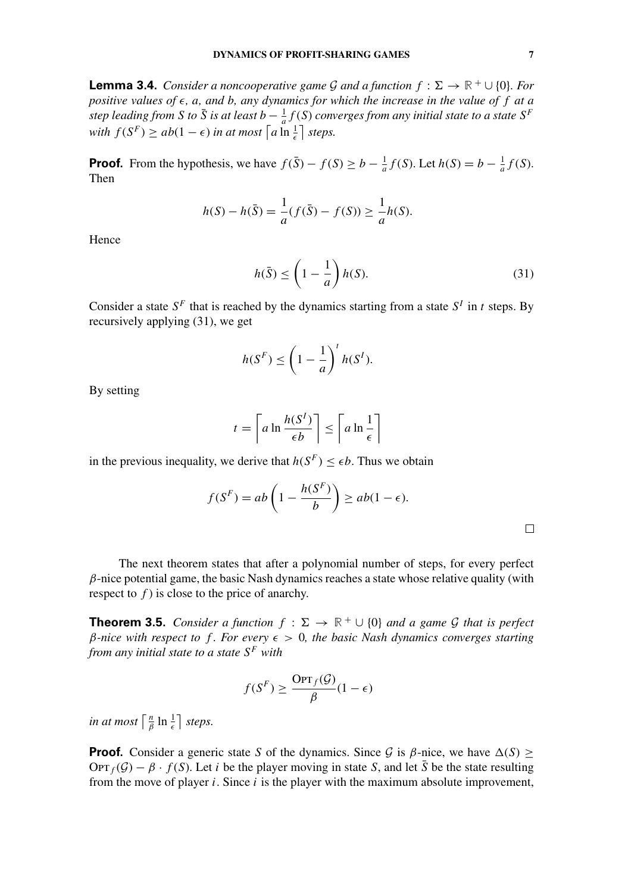**Lemma 3.4.** *Consider a noncooperative game G and a function*  $f : \Sigma \to \mathbb{R}^+ \cup \{0\}$ *. For positive values of*  $\epsilon$ *, a, and b, any dynamics for which the increase in the value of f at a*  $s$ *tep leading from* S *to*  $\bar{S}$  *is at least*  $b - \frac{1}{a} f(S)$  *converges from any initial state to a state*  $S^F$ *with*  $f(S^F) \ge ab(1 - \epsilon)$  *in at most*  $\lceil a \ln \frac{1}{\epsilon} \rceil$  *steps.* 

**Proof.** From the hypothesis, we have  $f(\bar{S}) - f(S) \ge b - \frac{1}{a}f(S)$ . Let  $h(S) = b - \frac{1}{a}f(S)$ . Then

$$
h(S) - h(\bar{S}) = \frac{1}{a}(f(\bar{S}) - f(S)) \ge \frac{1}{a}h(S).
$$

Hence

$$
h(\bar{S}) \le \left(1 - \frac{1}{a}\right)h(S). \tag{31}
$$

Consider a state  $S<sup>F</sup>$  that is reached by the dynamics starting from a state  $S<sup>T</sup>$  in t steps. By recursively applying (31), we get

$$
h(S^F) \le \left(1 - \frac{1}{a}\right)^t h(S^I).
$$

By setting

$$
t = \left\lceil a \ln \frac{h(S^I)}{\epsilon b} \right\rceil \le \left\lceil a \ln \frac{1}{\epsilon} \right\rceil
$$

in the previous inequality, we derive that  $h(S^F) \leq \epsilon b$ . Thus we obtain

$$
f(S^{F}) = ab\left(1 - \frac{h(S^{F})}{b}\right) \ge ab(1 - \epsilon).
$$

 $\Box$ 

The next theorem states that after a polynomial number of steps, for every perfect  $\beta$ -nice potential game, the basic Nash dynamics reaches a state whose relative quality (with respect to  $f$ ) is close to the price of anarchy.

**Theorem 3.5.** *Consider a function*  $f : \Sigma \to \mathbb{R}^+ \cup \{0\}$  *and a game G that is perfect* β*-nice with respect to* f *. For every* > 0*, the basic Nash dynamics converges starting from any initial state to a state* S<sup>F</sup> *with*

$$
f(S^F) \ge \frac{\text{Opt}_{f}(\mathcal{G})}{\beta}(1 - \epsilon)
$$

*in at most*  $\left\lceil \frac{n}{\beta} \ln \frac{1}{\epsilon} \right\rceil$  *steps.* 

**Proof.** Consider a generic state S of the dynamics. Since G is  $\beta$ -nice, we have  $\Delta(S)$  > OPT<sub>f</sub>  $(\mathcal{G}) - \beta \cdot f(S)$ . Let i be the player moving in state S, and let  $\bar{S}$  be the state resulting from the move of player  $i$ . Since  $i$  is the player with the maximum absolute improvement,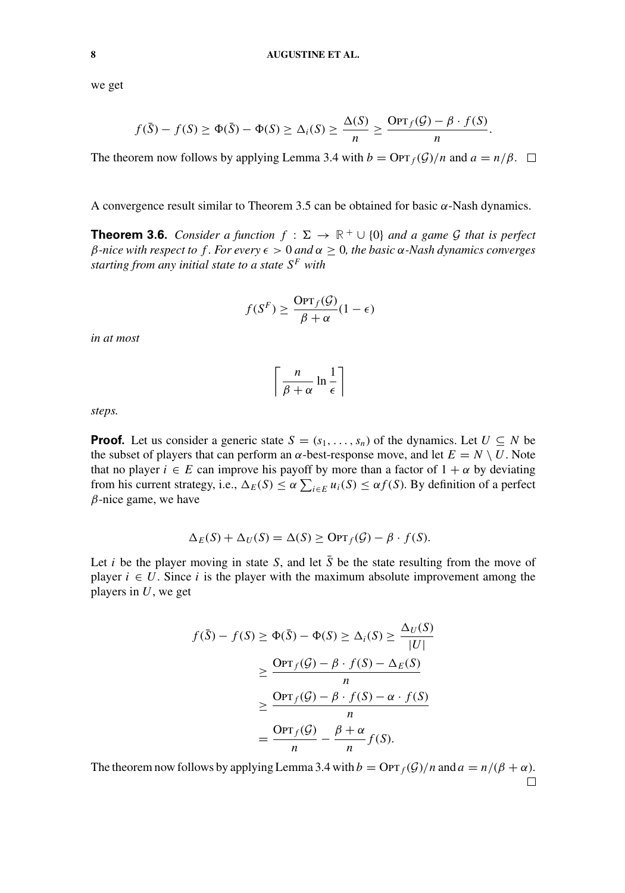we get

$$
f(\bar{S}) - f(S) \ge \Phi(\bar{S}) - \Phi(S) \ge \Delta_i(S) \ge \frac{\Delta(S)}{n} \ge \frac{\text{Opt}_f(\mathcal{G}) - \beta \cdot f(S)}{n}.
$$

The theorem now follows by applying Lemma 3.4 with  $b = \text{Opt}_{f}(\mathcal{G})/n$  and  $a = n/\beta$ .

A convergence result similar to Theorem 3.5 can be obtained for basic  $\alpha$ -Nash dynamics.

**Theorem 3.6.** *Consider a function*  $f : \Sigma \to \mathbb{R}^+ \cup \{0\}$  *and a game G that is perfect* β*-nice with respect to* f *. For every* > 0 *and* α ≥ 0*, the basic* α*-Nash dynamics converges starting from any initial state to a state* S<sup>F</sup> *with*

$$
f(S^{F}) \ge \frac{\text{Opt}_{f}(\mathcal{G})}{\beta + \alpha} (1 - \epsilon)
$$

*in at most*

$$
\left\lceil \frac{n}{\beta + \alpha} \ln \frac{1}{\epsilon} \right\rceil
$$

*steps.*

**Proof.** Let us consider a generic state  $S = (s_1, \ldots, s_n)$  of the dynamics. Let  $U \subseteq N$  be the subset of players that can perform an  $\alpha$ -best-response move, and let  $E = N \setminus U$ . Note that no player  $i \in E$  can improve his payoff by more than a factor of  $1 + \alpha$  by deviating from his current strategy, i.e.,  $\Delta_E(S) \le \alpha \sum_{i \in E} u_i(S) \le \alpha f(S)$ . By definition of a perfect  $\beta$ -nice game, we have

$$
\Delta_E(S) + \Delta_U(S) = \Delta(S) \ge \text{OPT}_f(\mathcal{G}) - \beta \cdot f(S).
$$

Let *i* be the player moving in state S, and let  $\overline{S}$  be the state resulting from the move of player  $i \in U$ . Since i is the player with the maximum absolute improvement among the players in  $U$ , we get

$$
f(\bar{S}) - f(S) \ge \Phi(\bar{S}) - \Phi(S) \ge \Delta_i(S) \ge \frac{\Delta_U(S)}{|U|}
$$
  
 
$$
\ge \frac{\text{Opt}_f(\mathcal{G}) - \beta \cdot f(S) - \Delta_E(S)}{n}
$$
  
 
$$
\ge \frac{\text{Opt}_f(\mathcal{G}) - \beta \cdot f(S) - \alpha \cdot f(S)}{n}
$$
  
 
$$
= \frac{\text{Opt}_f(\mathcal{G})}{n} - \frac{\beta + \alpha}{n} f(S).
$$

The theorem now follows by applying Lemma 3.4 with  $b = \text{Opt}_f(\mathcal{G})/n$  and  $a = n/(\beta + \alpha)$ .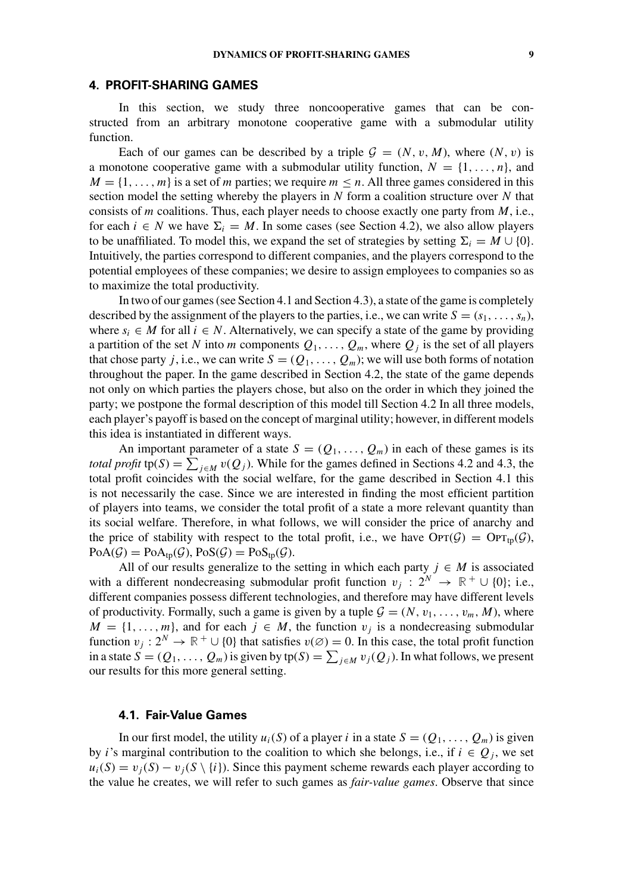## **4. PROFIT-SHARING GAMES**

In this section, we study three noncooperative games that can be constructed from an arbitrary monotone cooperative game with a submodular utility function.

Each of our games can be described by a triple  $\mathcal{G} = (N, v, M)$ , where  $(N, v)$  is a monotone cooperative game with a submodular utility function,  $N = \{1, \ldots, n\}$ , and  $M = \{1, \ldots, m\}$  is a set of m parties; we require  $m \le n$ . All three games considered in this section model the setting whereby the players in  $N$  form a coalition structure over  $N$  that consists of m coalitions. Thus, each player needs to choose exactly one party from  $M$ , i.e., for each  $i \in N$  we have  $\Sigma_i = M$ . In some cases (see Section 4.2), we also allow players to be unaffiliated. To model this, we expand the set of strategies by setting  $\Sigma_i = M \cup \{0\}$ . Intuitively, the parties correspond to different companies, and the players correspond to the potential employees of these companies; we desire to assign employees to companies so as to maximize the total productivity.

In two of our games (see Section 4.1 and Section 4.3), a state of the game is completely described by the assignment of the players to the parties, i.e., we can write  $S = (s_1, \ldots, s_n)$ , where  $s_i \in M$  for all  $i \in N$ . Alternatively, we can specify a state of the game by providing a partition of the set N into m components  $Q_1, \ldots, Q_m$ , where  $Q_j$  is the set of all players that chose party j, i.e., we can write  $S = (Q_1, \ldots, Q_m)$ ; we will use both forms of notation throughout the paper. In the game described in Section 4.2, the state of the game depends not only on which parties the players chose, but also on the order in which they joined the party; we postpone the formal description of this model till Section 4.2 In all three models, each player's payoff is based on the concept of marginal utility; however, in different models this idea is instantiated in different ways.

An important parameter of a state  $S = (Q_1, \ldots, Q_m)$  in each of these games is its *total profit*  $tp(S) = \sum_{j \in M} v(Q_j)$ . While for the games defined in Sections 4.2 and 4.3, the total profit coincides with the social welfare, for the game described in Section 4.1 this is not necessarily the case. Since we are interested in finding the most efficient partition of players into teams, we consider the total profit of a state a more relevant quantity than its social welfare. Therefore, in what follows, we will consider the price of anarchy and the price of stability with respect to the total profit, i.e., we have  $\text{OPT}(\mathcal{G}) = \text{OPT}_{\text{tp}}(\mathcal{G})$ ,  $PoA(\mathcal{G}) = PoA_{\text{tp}}(\mathcal{G}), PoS(\mathcal{G}) = PoS_{\text{tp}}(\mathcal{G}).$ 

All of our results generalize to the setting in which each party  $j \in M$  is associated with a different nondecreasing submodular profit function  $v_i : 2^N \rightarrow \mathbb{R}^+ \cup \{0\}$ ; i.e., different companies possess different technologies, and therefore may have different levels of productivity. Formally, such a game is given by a tuple  $G = (N, v_1, \ldots, v_m, M)$ , where  $M = \{1, \ldots, m\}$ , and for each  $j \in M$ , the function  $v_j$  is a nondecreasing submodular function  $v_i : 2^N \to \mathbb{R}^+ \cup \{0\}$  that satisfies  $v(\emptyset) = 0$ . In this case, the total profit function in a state  $S = (Q_1, \ldots, Q_m)$  is given by tp(S) =  $\sum_{j \in M} v_j(Q_j)$ . In what follows, we present our results for this more general setting.

### **4.1. Fair-Value Games**

In our first model, the utility  $u_i(S)$  of a player i in a state  $S = (Q_1, \ldots, Q_m)$  is given by *i*'s marginal contribution to the coalition to which she belongs, i.e., if  $i \in Q_j$ , we set  $u_i(S) = v_i(S) - v_i(S \setminus \{i\})$ . Since this payment scheme rewards each player according to the value he creates, we will refer to such games as *fair-value games*. Observe that since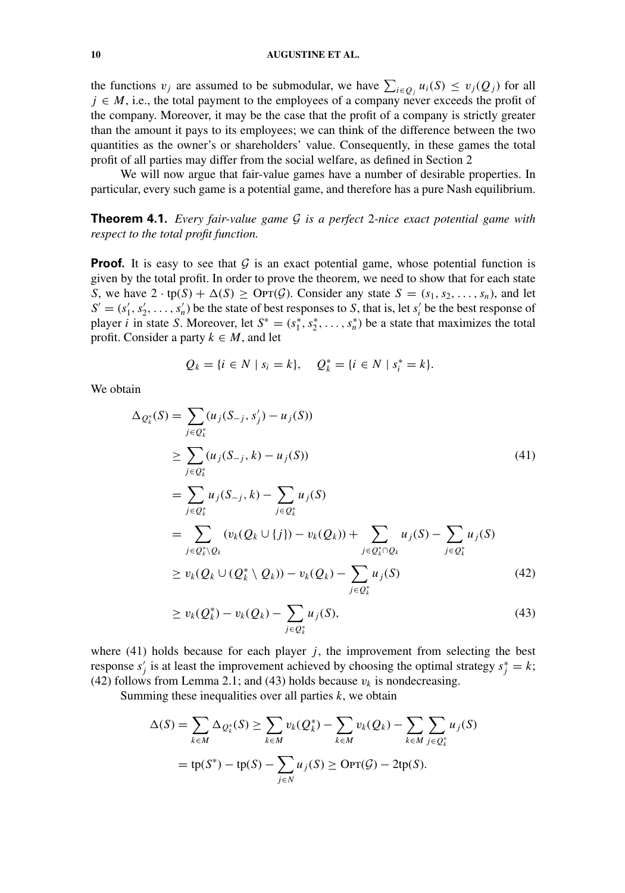the functions  $v_j$  are assumed to be submodular, we have  $\sum_{i \in Q_j} u_i(S) \le v_j(Q_j)$  for all  $j \in M$ , i.e., the total payment to the employees of a company never exceeds the profit of the company. Moreover, it may be the case that the profit of a company is strictly greater than the amount it pays to its employees; we can think of the difference between the two quantities as the owner's or shareholders' value. Consequently, in these games the total profit of all parties may differ from the social welfare, as defined in Section 2

We will now argue that fair-value games have a number of desirable properties. In particular, every such game is a potential game, and therefore has a pure Nash equilibrium.

**Theorem 4.1.** *Every fair-value game G is a perfect* 2*-nice exact potential game with respect to the total profit function.*

**Proof.** It is easy to see that  $G$  is an exact potential game, whose potential function is given by the total profit. In order to prove the theorem, we need to show that for each state S, we have  $2 \cdot tp(S) + \Delta(S) \geq OPT(\mathcal{G})$ . Consider any state  $S = (s_1, s_2, \ldots, s_n)$ , and let  $S' = (s'_1, s'_2, \dots, s'_n)$  be the state of best responses to S, that is, let  $s'_i$  be the best response of player *i* in state S. Moreover, let  $S^* = (s_1^*, s_2^*, \ldots, s_n^*)$  be a state that maximizes the total profit. Consider a party  $k \in M$ , and let

$$
Q_k = \{i \in N \mid s_i = k\}, \quad Q_k^* = \{i \in N \mid s_i^* = k\}.
$$

We obtain

$$
\Delta_{Q_k^*}(S) = \sum_{j \in Q_k^*} (u_j(S_{-j}, s'_j) - u_j(S))
$$
\n
$$
\geq \sum_{j \in Q_k^*} (u_j(S_{-j}, k) - u_j(S))
$$
\n
$$
= \sum_{j \in Q_k^*} u_j(S_{-j}, k) - \sum_{j \in Q_k^*} u_j(S)
$$
\n
$$
= \sum_{j \in Q_k^* \setminus Q_k} (v_k(Q_k \cup \{j\}) - v_k(Q_k)) + \sum_{j \in Q_k^* \cap Q_k} u_j(S) - \sum_{j \in Q_k^*} u_j(S)
$$
\n
$$
\geq v_k(Q_k \cup (Q_k^* \setminus Q_k)) - v_k(Q_k) - \sum_{j \in Q_k^*} u_j(S)
$$
\n
$$
\geq v_k(Q_k^*) - v_k(Q_k) - \sum_{j \in Q_k^*} u_j(S),
$$
\n(43)

where (41) holds because for each player *j*, the improvement from selecting the best response 
$$
s'_j
$$
 is at least the improvement achieved by choosing the optimal strategy  $s^*_j = k$ ;

resp  $j$  is at least the improvement achieved by choosing the optimal strategy  $s_j^*$  $j^* = k;$ (42) follows from Lemma 2.1; and (43) holds because  $v_k$  is nondecreasing.

Summing these inequalities over all parties  $k$ , we obtain

$$
\Delta(S) = \sum_{k \in M} \Delta_{Q_k^*}(S) \ge \sum_{k \in M} v_k(Q_k^*) - \sum_{k \in M} v_k(Q_k) - \sum_{k \in M} \sum_{j \in Q_k^*} u_j(S)
$$

$$
= \text{tp}(S^*) - \text{tp}(S) - \sum_{j \in N} u_j(S) \ge \text{OPT}(\mathcal{G}) - 2\text{tp}(S).
$$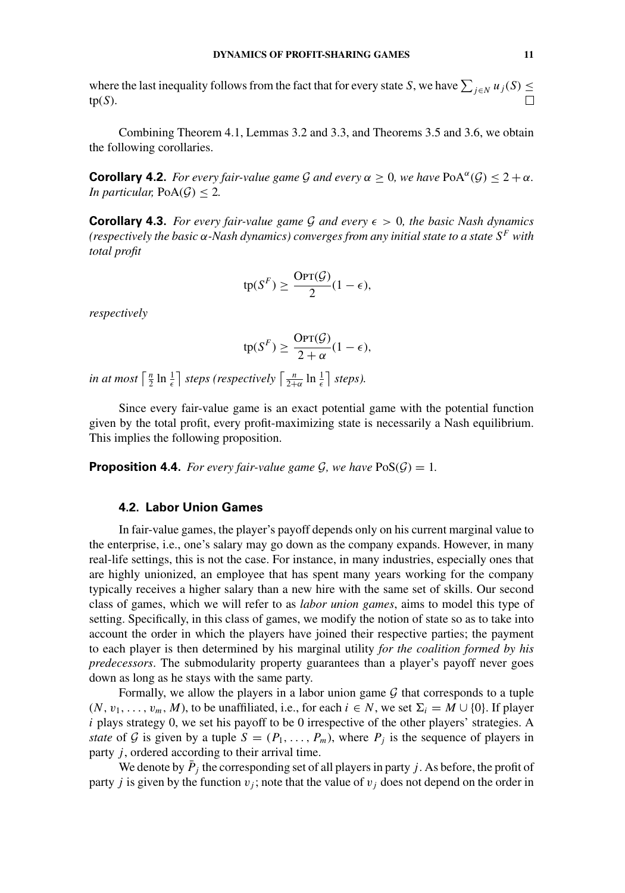where the last inequality follows from the fact that for every state S, we have  $\sum_{j \in N} u_j(S) \leq$  $tp(S)$ .

Combining Theorem 4.1, Lemmas 3.2 and 3.3, and Theorems 3.5 and 3.6, we obtain the following corollaries.

**Corollary 4.2.** *For every fair-value game*  $G$  *and every*  $\alpha \geq 0$ *, we have*  $PoA^{\alpha}(G) \leq 2 + \alpha$ *. In particular,*  $PoA(\mathcal{G}) \leq 2$ *.* 

**Corollary 4.3.** For every fair-value game G and every  $\epsilon > 0$ , the basic Nash dynamics *(respectively the basic* α*-Nash dynamics) converges from any initial state to a state* S<sup>F</sup> *with total profit*

$$
tp(S^F) \ge \frac{\text{Opt}(\mathcal{G})}{2}(1-\epsilon),
$$

*respectively*

$$
tp(S^F) \ge \frac{\text{Opt}(\mathcal{G})}{2+\alpha}(1-\epsilon),
$$

*in at most*  $\left\lceil \frac{n}{2} \ln \frac{1}{\epsilon} \right\rceil$  *steps (respectively*  $\left\lceil \frac{n}{2+\alpha} \ln \frac{1}{\epsilon} \right\rceil$  *steps).* 

Since every fair-value game is an exact potential game with the potential function given by the total profit, every profit-maximizing state is necessarily a Nash equilibrium. This implies the following proposition.

**Proposition 4.4.** *For every fair-value game G, we have*  $Pos(G) = 1$ *.* 

## **4.2. Labor Union Games**

In fair-value games, the player's payoff depends only on his current marginal value to the enterprise, i.e., one's salary may go down as the company expands. However, in many real-life settings, this is not the case. For instance, in many industries, especially ones that are highly unionized, an employee that has spent many years working for the company typically receives a higher salary than a new hire with the same set of skills. Our second class of games, which we will refer to as *labor union games*, aims to model this type of setting. Specifically, in this class of games, we modify the notion of state so as to take into account the order in which the players have joined their respective parties; the payment to each player is then determined by his marginal utility *for the coalition formed by his predecessors*. The submodularity property guarantees than a player's payoff never goes down as long as he stays with the same party.

Formally, we allow the players in a labor union game *G* that corresponds to a tuple  $(N, v_1, \ldots, v_m, M)$ , to be unaffiliated, i.e., for each  $i \in N$ , we set  $\Sigma_i = M \cup \{0\}$ . If player  $i$  plays strategy 0, we set his payoff to be 0 irrespective of the other players' strategies. A *state* of G is given by a tuple  $S = (P_1, \ldots, P_m)$ , where  $P_j$  is the sequence of players in party  $j$ , ordered according to their arrival time.

We denote by  $\bar{P}_j$  the corresponding set of all players in party j. As before, the profit of party *j* is given by the function  $v_i$ ; note that the value of  $v_i$  does not depend on the order in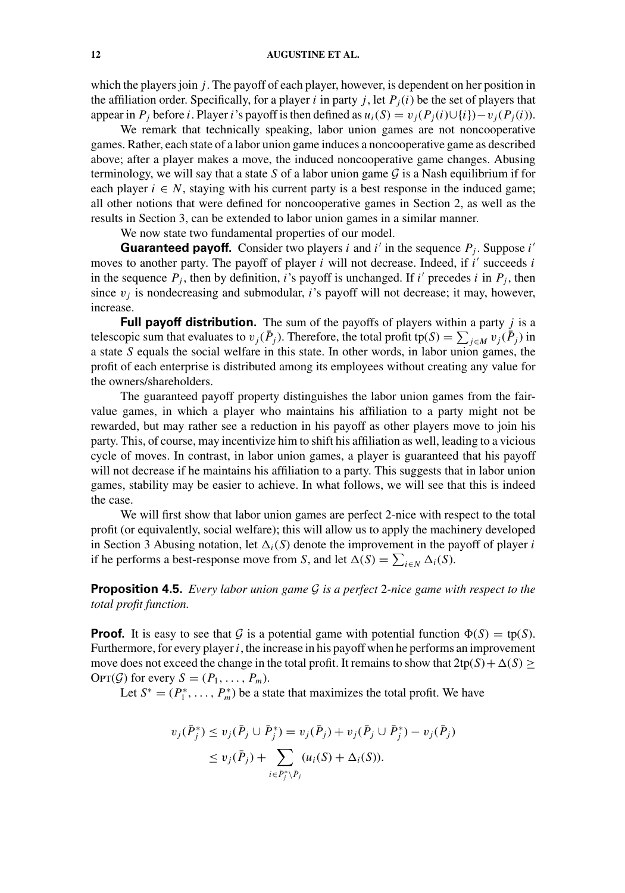which the players join  $j$ . The payoff of each player, however, is dependent on her position in the affiliation order. Specifically, for a player i in party j, let  $P_i(i)$  be the set of players that appear in P<sub>j</sub> before i. Player i's payoff is then defined as  $u_i(S) = v_j(P_i(i) \cup \{i\}) - v_j(P_i(i))$ .

We remark that technically speaking, labor union games are not noncooperative games. Rather, each state of a labor union game induces a noncooperative game as described above; after a player makes a move, the induced noncooperative game changes. Abusing terminology, we will say that a state S of a labor union game  $G$  is a Nash equilibrium if for each player  $i \in N$ , staying with his current party is a best response in the induced game; all other notions that were defined for noncooperative games in Section 2, as well as the results in Section 3, can be extended to labor union games in a similar manner.

We now state two fundamental properties of our model.

**Guaranteed payoff.** Consider two players i and i' in the sequence  $P_i$ . Suppose i' moves to another party. The payoff of player  $i$  will not decrease. Indeed, if  $i'$  succeeds  $i$ in the sequence  $P_i$ , then by definition, i's payoff is unchanged. If i' precedes i in  $P_i$ , then since  $v_i$  is nondecreasing and submodular, *i*'s payoff will not decrease; it may, however, increase.

**Full payoff distribution.** The sum of the payoffs of players within a party j is a telescopic sum that evaluates to  $v_j(\bar{P}_j)$ . Therefore, the total profit tp(S) =  $\sum_{j \in M} v_j(\bar{P}_j)$  in a state S equals the social welfare in this state. In other words, in labor union games, the profit of each enterprise is distributed among its employees without creating any value for the owners/shareholders.

The guaranteed payoff property distinguishes the labor union games from the fairvalue games, in which a player who maintains his affiliation to a party might not be rewarded, but may rather see a reduction in his payoff as other players move to join his party. This, of course, may incentivize him to shift his affiliation as well, leading to a vicious cycle of moves. In contrast, in labor union games, a player is guaranteed that his payoff will not decrease if he maintains his affiliation to a party. This suggests that in labor union games, stability may be easier to achieve. In what follows, we will see that this is indeed the case.

We will first show that labor union games are perfect 2-nice with respect to the total profit (or equivalently, social welfare); this will allow us to apply the machinery developed in Section 3 Abusing notation, let  $\Delta_i(S)$  denote the improvement in the payoff of player i if he performs a best-response move from S, and let  $\Delta(S) = \sum_{i \in N} \Delta_i(S)$ .

**Proposition 4.5.** *Every labor union game G is a perfect* 2*-nice game with respect to the total profit function.*

**Proof.** It is easy to see that *G* is a potential game with potential function  $\Phi(S) = \text{tp}(S)$ . Furthermore, for every player  $i$ , the increase in his payoff when he performs an improvement move does not exceed the change in the total profit. It remains to show that  $2tp(S) + \Delta(S) \ge$ OPT( $G$ ) for every  $S = (P_1, \ldots, P_m)$ .

Let  $S^* = (P_1^*, \ldots, P_m^*)$  be a state that maximizes the total profit. We have

$$
v_j(\bar{P}_j^*) \le v_j(\bar{P}_j \cup \bar{P}_j^*) = v_j(\bar{P}_j) + v_j(\bar{P}_j \cup \bar{P}_j^*) - v_j(\bar{P}_j)
$$
  
 
$$
\le v_j(\bar{P}_j) + \sum_{i \in \bar{P}_j^* \setminus \bar{P}_j} (u_i(S) + \Delta_i(S)).
$$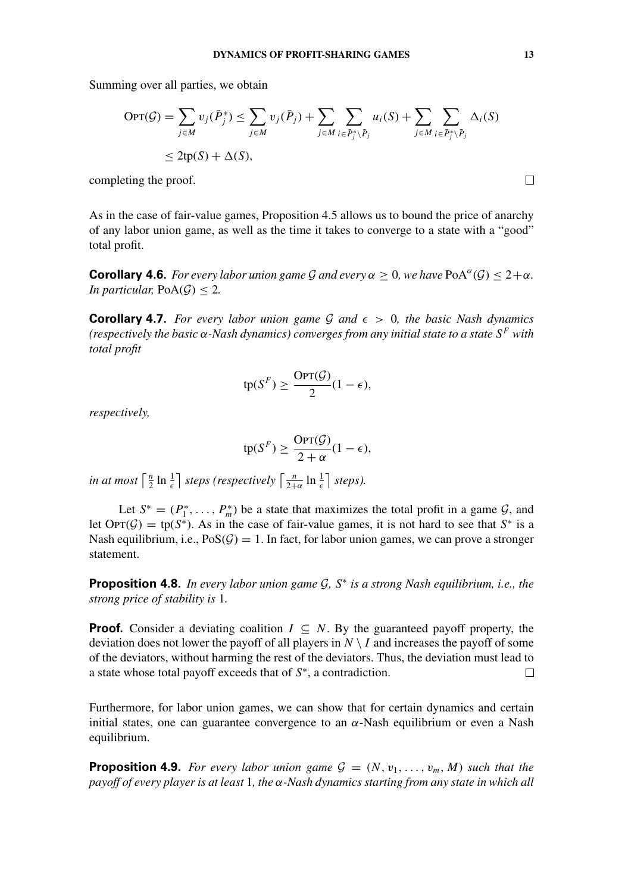Summing over all parties, we obtain

$$
\begin{aligned} \text{OPT}(\mathcal{G}) &= \sum_{j \in M} v_j(\bar{P}_j^*) \le \sum_{j \in M} v_j(\bar{P}_j) + \sum_{j \in M} \sum_{i \in \bar{P}_j^* \setminus \bar{P}_j} u_i(S) + \sum_{j \in M} \sum_{i \in \bar{P}_j^* \setminus \bar{P}_j} \Delta_i(S) \\ &\le 2 \text{tp}(S) + \Delta(S), \end{aligned}
$$

completing the proof.

As in the case of fair-value games, Proposition 4.5 allows us to bound the price of anarchy of any labor union game, as well as the time it takes to converge to a state with a "good" total profit.

**Corollary 4.6.** *For every labor union game G and every*  $\alpha \geq 0$ *, we have*  $PoA^{\alpha}(\mathcal{G}) \leq 2+\alpha$ *. In particular,*  $PoA(\mathcal{G}) \leq 2$ *.* 

**Corollary 4.7.** *For every labor union game*  $G$  *and*  $\epsilon > 0$ *, the basic Nash dynamics (respectively the basic* α*-Nash dynamics) converges from any initial state to a state* S<sup>F</sup> *with total profit*

$$
tp(S^F) \ge \frac{\text{Opt}(\mathcal{G})}{2}(1-\epsilon),
$$

*respectively,*

$$
tp(S^F) \ge \frac{\text{Opt}(\mathcal{G})}{2+\alpha}(1-\epsilon),
$$

*in at most*  $\left\lceil \frac{n}{2} \ln \frac{1}{\epsilon} \right\rceil$  *steps (respectively*  $\left\lceil \frac{n}{2+\alpha} \ln \frac{1}{\epsilon} \right\rceil$  *steps).* 

Let  $S^* = (P_1^*, \ldots, P_m^*)$  be a state that maximizes the total profit in a game  $G$ , and let Opt $f(\mathcal{G}) = \text{tp}(S^*)$ . As in the case of fair-value games, it is not hard to see that  $S^*$  is a Nash equilibrium, i.e.,  $Pos(G) = 1$ . In fact, for labor union games, we can prove a stronger statement.

**Proposition 4.8.** *In every labor union game <sup>G</sup>,* <sup>S</sup><sup>∗</sup> *is a strong Nash equilibrium, i.e., the strong price of stability is* 1*.*

**Proof.** Consider a deviating coalition  $I \subseteq N$ . By the guaranteed payoff property, the deviation does not lower the payoff of all players in  $N \setminus I$  and increases the payoff of some of the deviators, without harming the rest of the deviators. Thus, the deviation must lead to a state whose total payoff exceeds that of S<sup>∗</sup>, a contradiction.  $\Box$ 

Furthermore, for labor union games, we can show that for certain dynamics and certain initial states, one can guarantee convergence to an  $\alpha$ -Nash equilibrium or even a Nash equilibrium.

**Proposition 4.9.** *For every labor union game*  $G = (N, v_1, \ldots, v_m, M)$  *such that the payoff of every player is at least* 1*, the* α*-Nash dynamics starting from any state in which all*

 $\Box$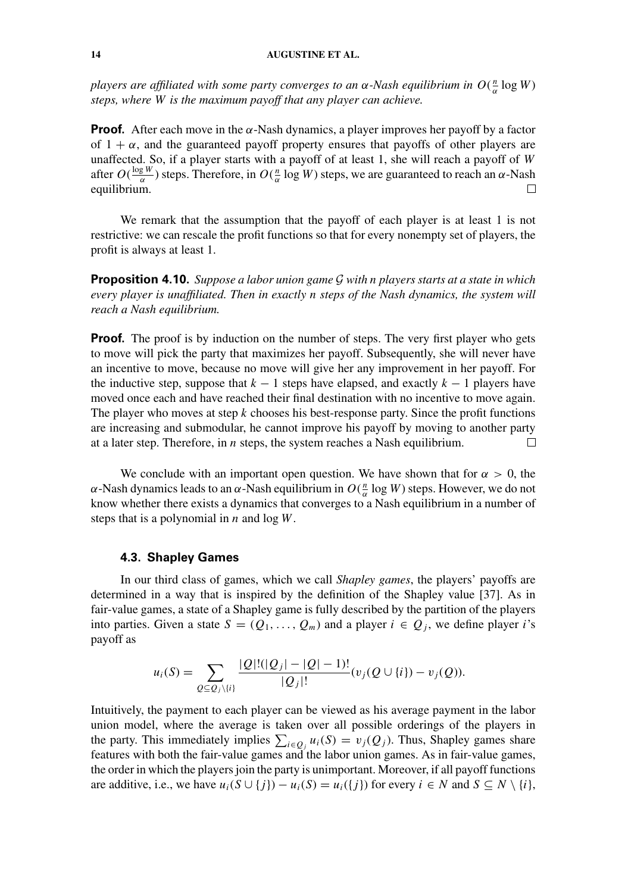*players are affiliated with some party converges to an α-Nash equilibrium in*  $O(\frac{n}{\alpha} \log W)$ *steps, where* W *is the maximum payoff that any player can achieve.*

**Proof.** After each move in the  $\alpha$ -Nash dynamics, a player improves her payoff by a factor of  $1 + \alpha$ , and the guaranteed payoff property ensures that payoffs of other players are unaffected. So, if a player starts with a payoff of at least 1, she will reach a payoff of W after  $O(\frac{\log W}{\alpha})$  steps. Therefore, in  $O(\frac{n}{\alpha} \log W)$  steps, we are guaranteed to reach an  $\alpha$ -Nash equilibrium.

We remark that the assumption that the payoff of each player is at least 1 is not restrictive: we can rescale the profit functions so that for every nonempty set of players, the profit is always at least 1.

**Proposition 4.10.** *Suppose a labor union game G with* n *players starts at a state in which every player is unaffiliated. Then in exactly* n *steps of the Nash dynamics, the system will reach a Nash equilibrium.*

**Proof.** The proof is by induction on the number of steps. The very first player who gets to move will pick the party that maximizes her payoff. Subsequently, she will never have an incentive to move, because no move will give her any improvement in her payoff. For the inductive step, suppose that  $k - 1$  steps have elapsed, and exactly  $k - 1$  players have moved once each and have reached their final destination with no incentive to move again. The player who moves at step  $k$  chooses his best-response party. Since the profit functions are increasing and submodular, he cannot improve his payoff by moving to another party at a later step. Therefore, in  $n$  steps, the system reaches a Nash equilibrium. П

We conclude with an important open question. We have shown that for  $\alpha > 0$ , the α-Nash dynamics leads to an α-Nash equilibrium in  $O(\frac{n}{\alpha} \log W)$  steps. However, we do not know whether there exists a dynamics that converges to a Nash equilibrium in a number of steps that is a polynomial in  $n$  and log  $W$ .

# **4.3. Shapley Games**

In our third class of games, which we call *Shapley games*, the players' payoffs are determined in a way that is inspired by the definition of the Shapley value [37]. As in fair-value games, a state of a Shapley game is fully described by the partition of the players into parties. Given a state  $S = (Q_1, \ldots, Q_m)$  and a player  $i \in Q_j$ , we define player i's payoff as

$$
u_i(S) = \sum_{Q \subseteq Q_j \setminus \{i\}} \frac{|Q|!(|Q_j| - |Q| - 1)!}{|Q_j|!} (v_j(Q \cup \{i\}) - v_j(Q)).
$$

Intuitively, the payment to each player can be viewed as his average payment in the labor union model, where the average is taken over all possible orderings of the players in the party. This immediately implies  $\sum_{i \in Q_j} u_i(S) = v_j(Q_j)$ . Thus, Shapley games share features with both the fair-value games and the labor union games. As in fair-value games, the order in which the players join the party is unimportant. Moreover, if all payoff functions are additive, i.e., we have  $u_i(S \cup \{j\}) - u_i(S) = u_i(\{j\})$  for every  $i \in N$  and  $S \subseteq N \setminus \{i\}$ ,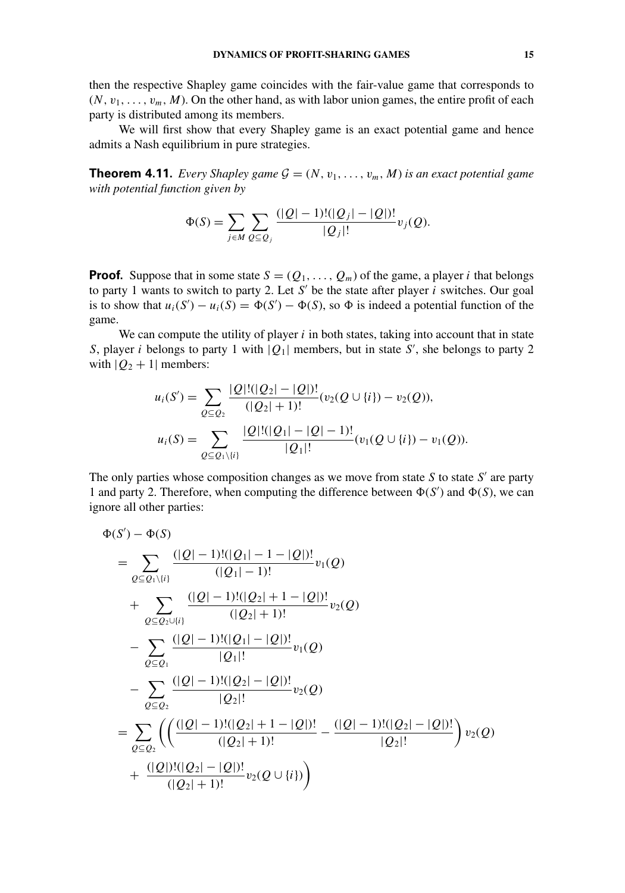then the respective Shapley game coincides with the fair-value game that corresponds to  $(N, v_1, \ldots, v_m, M)$ . On the other hand, as with labor union games, the entire profit of each party is distributed among its members.

We will first show that every Shapley game is an exact potential game and hence admits a Nash equilibrium in pure strategies.

**Theorem 4.11.** *Every Shapley game*  $G = (N, v_1, \ldots, v_m, M)$  *is an exact potential game with potential function given by*

$$
\Phi(S) = \sum_{j \in M} \sum_{Q \subseteq Q_j} \frac{(|Q| - 1)!(|Q_j| - |Q|)!}{|Q_j|!} v_j(Q).
$$

**Proof.** Suppose that in some state  $S = (Q_1, \ldots, Q_m)$  of the game, a player *i* that belongs to party 1 wants to switch to party 2. Let  $S'$  be the state after player i switches. Our goal is to show that  $u_i(S') - u_i(S) = \Phi(S') - \Phi(S)$ , so  $\Phi$  is indeed a potential function of the game.

We can compute the utility of player  $i$  in both states, taking into account that in state S, player i belongs to party 1 with  $|Q_1|$  members, but in state S', she belongs to party 2 with  $|Q_2 + 1|$  members:

$$
u_i(S') = \sum_{Q \subseteq Q_2} \frac{|Q|!(|Q_2| - |Q|)!}{(|Q_2| + 1)!} (v_2(Q \cup \{i\}) - v_2(Q)),
$$
  

$$
u_i(S) = \sum_{Q \subseteq Q_1 \setminus \{i\}} \frac{|Q|!(|Q_1| - |Q| - 1)!}{|Q_1|!} (v_1(Q \cup \{i\}) - v_1(Q)).
$$

The only parties whose composition changes as we move from state S to state  $S'$  are party 1 and party 2. Therefore, when computing the difference between  $\Phi(S')$  and  $\Phi(S)$ , we can ignore all other parties:

$$
\Phi(S') - \Phi(S)
$$
\n
$$
= \sum_{Q \subseteq Q_1 \setminus \{i\}} \frac{(|Q| - 1)!(|Q_1| - 1 - |Q|)!}{(|Q_1| - 1)!} v_1(Q)
$$
\n
$$
+ \sum_{Q \subseteq Q_2 \cup \{i\}} \frac{(|Q| - 1)!(|Q_2| + 1 - |Q|)!}{(|Q_2| + 1)!} v_2(Q)
$$
\n
$$
- \sum_{Q \subseteq Q_1} \frac{(|Q| - 1)!(|Q_1| - |Q|)!}{|Q_1|!} v_1(Q)
$$
\n
$$
- \sum_{Q \subseteq Q_2} \frac{(|Q| - 1)!(|Q_2| - |Q|)!}{|Q_2|!} v_2(Q)
$$
\n
$$
= \sum_{Q \subseteq Q_2} \left( \left( \frac{(|Q| - 1)!(|Q_2| + 1 - |Q|)!}{(|Q_2| + 1)!} - \frac{(|Q| - 1)!(|Q_2| - |Q|)!}{|Q_2|!} \right) v_2(Q) + \frac{(|Q|)!(|Q_2| - |Q|)!}{|Q_2| + 1)!} v_2(Q \cup \{i\}) \right)
$$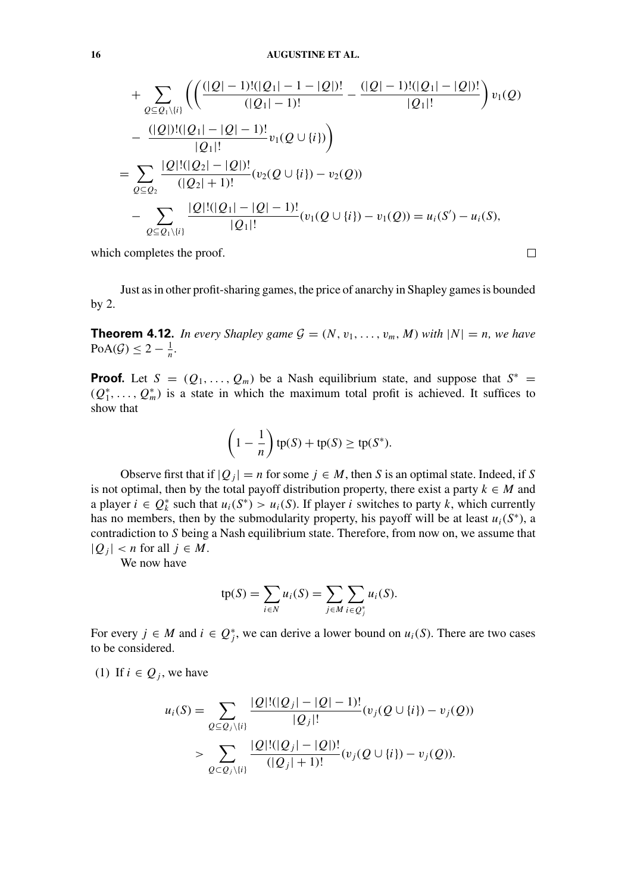$$
+\sum_{Q\subseteq Q_1\backslash\{i\}}\left(\left(\frac{(|Q|-1)!(|Q_1|-1-|Q|)!}{(|Q_1|-1)!}-\frac{(|Q|-1)!(|Q_1|-|Q|)!}{|Q_1|!}\right)v_1(Q)\right)-\frac{(|Q|)!(|Q_1|-|Q|-1)!}{|Q_1|!}v_1(Q\cup\{i\})\right)=\sum_{Q\subseteq Q_2}\frac{|Q|!(|Q_2|-|Q|)!}{(|Q_2|+1)!}(v_2(Q\cup\{i\})-v_2(Q))-\sum_{Q\subseteq Q_1\backslash\{i\}}\frac{|Q|!(|Q_1|-|Q|-1)!}{|Q_1|!}(v_1(Q\cup\{i\})-v_1(Q))=u_i(S')-u_i(S),
$$

 $\Box$ 

which completes the proof.

Just as in other profit-sharing games, the price of anarchy in Shapley games is bounded by 2.

**Theorem 4.12.** *In every Shapley game*  $G = (N, v_1, \ldots, v_m, M)$  *with*  $|N| = n$ *, we have*  $PoA(\mathcal{G}) \leq 2 - \frac{1}{n}.$ 

**Proof.** Let  $S = (Q_1, \ldots, Q_m)$  be a Nash equilibrium state, and suppose that  $S^* =$  $(Q_1^*, \ldots, Q_m^*)$  is a state in which the maximum total profit is achieved. It suffices to show that

$$
\left(1-\frac{1}{n}\right)\text{tp}(S)+\text{tp}(S)\geq \text{tp}(S^*).
$$

Observe first that if  $|Q_i| = n$  for some  $j \in M$ , then S is an optimal state. Indeed, if S is not optimal, then by the total payoff distribution property, there exist a party  $k \in M$  and a player  $i \in Q_k^*$  such that  $u_i(S^*) > u_i(S)$ . If player i switches to party k, which currently has no members, then by the submodularity property, his payoff will be at least  $u_i(S^*)$ , a contradiction to S being a Nash equilibrium state. Therefore, from now on, we assume that  $|Q_i| < n$  for all  $j \in M$ .

We now have

$$
tp(S) = \sum_{i \in N} u_i(S) = \sum_{j \in M} \sum_{i \in Q_j^*} u_i(S).
$$

For every  $j \in M$  and  $i \in Q_j^*$ , we can derive a lower bound on  $u_i(S)$ . There are two cases to be considered.

(1) If  $i \in Q_j$ , we have

$$
u_i(S) = \sum_{Q \subseteq Q_j \setminus \{i\}} \frac{|Q|!(|Q_j| - |Q| - 1)!}{|Q_j|!} (v_j(Q \cup \{i\}) - v_j(Q))
$$
  
> 
$$
\sum_{Q \subseteq Q_j \setminus \{i\}} \frac{|Q|!(|Q_j| - |Q|)!}{(|Q_j| + 1)!} (v_j(Q \cup \{i\}) - v_j(Q)).
$$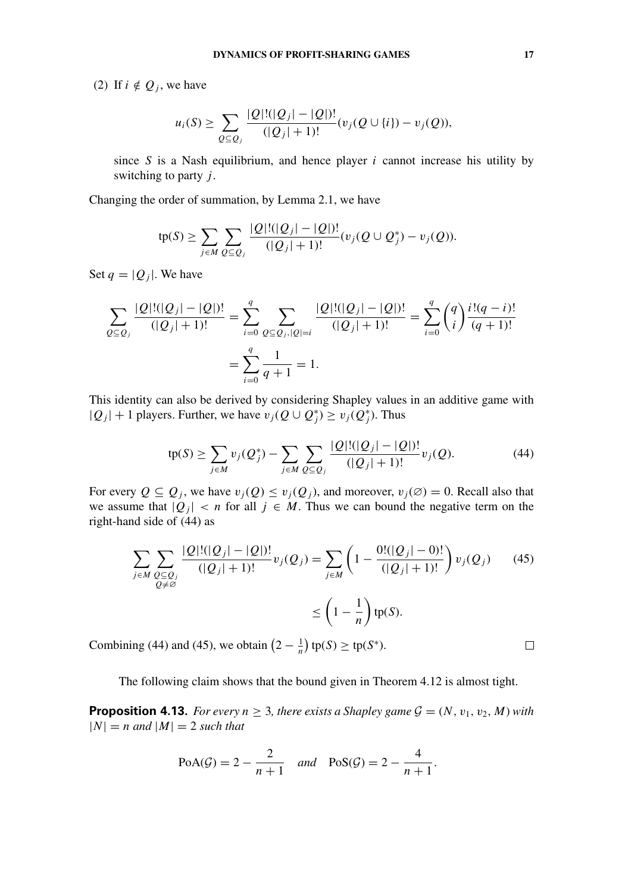(2) If  $i \notin Q_j$ , we have

$$
u_i(S) \ge \sum_{Q \subseteq Q_j} \frac{|Q|!(|Q_j| - |Q|)!}{(|Q_j| + 1)!} (v_j(Q \cup \{i\}) - v_j(Q)),
$$

since  $S$  is a Nash equilibrium, and hence player  $i$  cannot increase his utility by switching to party  $j$ .

Changing the order of summation, by Lemma 2.1, we have

$$
\text{tp}(S) \ge \sum_{j \in M} \sum_{Q \subseteq Q_j} \frac{|Q|!(|Q_j| - |Q|)!}{(|Q_j| + 1)!} (v_j(Q \cup Q_j^*) - v_j(Q)).
$$

Set  $q = |Q_i|$ . We have

$$
\sum_{Q \subseteq Q_j} \frac{|Q|!(|Q_j| - |Q|)!}{(|Q_j| + 1)!} = \sum_{i=0}^q \sum_{Q \subseteq Q_j, |Q|=i} \frac{|Q|!(|Q_j| - |Q|)!}{(|Q_j| + 1)!} = \sum_{i=0}^q {q \choose i} \frac{i!(q - i)!}{(q + 1)!}
$$

$$
= \sum_{i=0}^q \frac{1}{q + 1} = 1.
$$

This identity can also be derived by considering Shapley values in an additive game with  $|Q_j|$  + 1 players. Further, we have  $v_j(Q \cup Q_j^*) \ge v_j(Q_j^*)$ . Thus

$$
tp(S) \ge \sum_{j \in M} v_j(Q_j^*) - \sum_{j \in M} \sum_{Q \subseteq Q_j} \frac{|Q|!(|Q_j| - |Q|)!}{(|Q_j| + 1)!} v_j(Q). \tag{44}
$$

For every  $Q \subseteq Q_i$ , we have  $v_i(Q) \le v_i(Q_i)$ , and moreover,  $v_i(\emptyset) = 0$ . Recall also that we assume that  $|Q_i| < n$  for all  $j \in M$ . Thus we can bound the negative term on the right-hand side of (44) as

$$
\sum_{j \in M} \sum_{\substack{Q \subseteq Q_j \\ Q \neq \emptyset}} \frac{|Q|!(|Q_j| - |Q|)!}{(|Q_j| + 1)!} v_j(Q_j) = \sum_{j \in M} \left(1 - \frac{0!(|Q_j| - 0)!}{(|Q_j| + 1)!}\right) v_j(Q_j) \tag{45}
$$
\n
$$
\leq \left(1 - \frac{1}{n}\right) \text{tp}(S).
$$

Combining (44) and (45), we obtain  $\left(2 - \frac{1}{n}\right)$  tp(S)  $\ge$  tp(S<sup>\*</sup>).

The following claim shows that the bound given in Theorem 4.12 is almost tight.

**Proposition 4.13.** *For every*  $n \geq 3$ *, there exists a Shapley game*  $G = (N, v_1, v_2, M)$  *with*  $|N| = n$  *and*  $|M| = 2$  *such that* 

PoA(
$$
G
$$
) = 2 -  $\frac{2}{n+1}$  and PoS( $G$ ) = 2 -  $\frac{4}{n+1}$ .

 $\Box$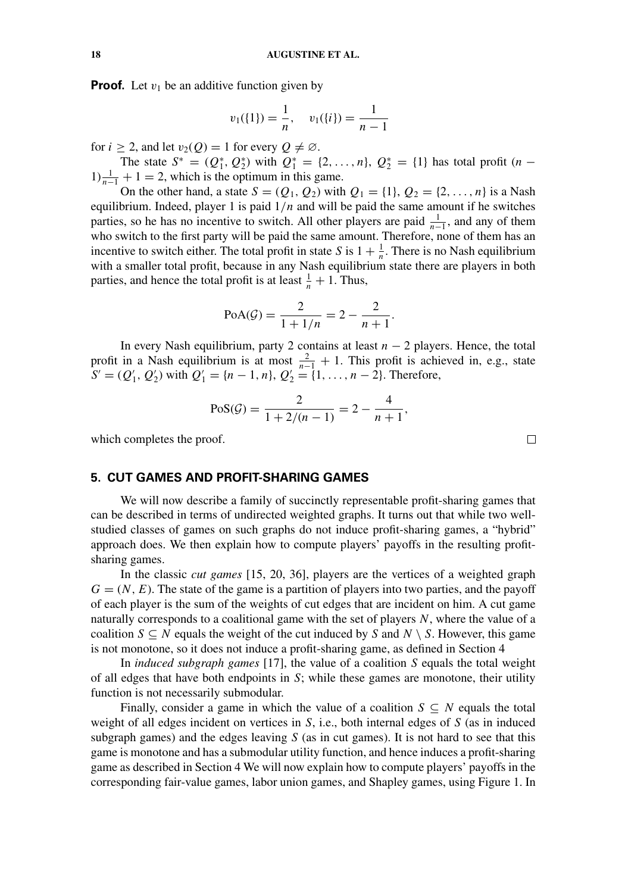**Proof.** Let  $v_1$  be an additive function given by

$$
v_1({1}) = \frac{1}{n}, \quad v_1({i}) = \frac{1}{n-1}
$$

for  $i \geq 2$ , and let  $v_2(Q) = 1$  for every  $Q \neq \emptyset$ .

The state  $S^* = (Q_1^*, Q_2^*)$  with  $Q_1^* = \{2, ..., n\}$ ,  $Q_2^* = \{1\}$  has total profit  $(n - 1)$  $1)$  $\frac{1}{n-1} + 1 = 2$ , which is the optimum in this game.

On the other hand, a state  $S = (Q_1, Q_2)$  with  $Q_1 = \{1\}, Q_2 = \{2, ..., n\}$  is a Nash equilibrium. Indeed, player 1 is paid  $1/n$  and will be paid the same amount if he switches parties, so he has no incentive to switch. All other players are paid  $\frac{1}{n-1}$ , and any of them who switch to the first party will be paid the same amount. Therefore, none of them has an incentive to switch either. The total profit in state S is  $1 + \frac{1}{n}$ . There is no Nash equilibrium with a smaller total profit, because in any Nash equilibrium state there are players in both parties, and hence the total profit is at least  $\frac{1}{n} + 1$ . Thus,

PoA
$$
(\mathcal{G}) = \frac{2}{1 + 1/n} = 2 - \frac{2}{n+1}.
$$

In every Nash equilibrium, party 2 contains at least  $n - 2$  players. Hence, the total profit in a Nash equilibrium is at most  $\frac{2}{n-1} + 1$ . This profit is achieved in, e.g., state  $S' = (Q'_1, Q'_2)$  with  $Q'_1 = \{n-1, n\}, Q'_2 = \{1, ..., n-2\}.$  Therefore,

$$
Pos(\mathcal{G}) = \frac{2}{1 + 2/(n-1)} = 2 - \frac{4}{n+1},
$$

which completes the proof.

#### **5. CUT GAMES AND PROFIT-SHARING GAMES**

We will now describe a family of succinctly representable profit-sharing games that can be described in terms of undirected weighted graphs. It turns out that while two wellstudied classes of games on such graphs do not induce profit-sharing games, a "hybrid" approach does. We then explain how to compute players' payoffs in the resulting profitsharing games.

In the classic *cut games* [15, 20, 36], players are the vertices of a weighted graph  $G = (N, E)$ . The state of the game is a partition of players into two parties, and the payoff of each player is the sum of the weights of cut edges that are incident on him. A cut game naturally corresponds to a coalitional game with the set of players  $N$ , where the value of a coalition  $S \subseteq N$  equals the weight of the cut induced by S and  $N \setminus S$ . However, this game is not monotone, so it does not induce a profit-sharing game, as defined in Section 4

In *induced subgraph games* [17], the value of a coalition S equals the total weight of all edges that have both endpoints in  $S$ ; while these games are monotone, their utility function is not necessarily submodular.

Finally, consider a game in which the value of a coalition  $S \subseteq N$  equals the total weight of all edges incident on vertices in  $S$ , i.e., both internal edges of  $S$  (as in induced subgraph games) and the edges leaving  $S$  (as in cut games). It is not hard to see that this game is monotone and has a submodular utility function, and hence induces a profit-sharing game as described in Section 4 We will now explain how to compute players' payoffs in the corresponding fair-value games, labor union games, and Shapley games, using Figure 1. In

 $\Box$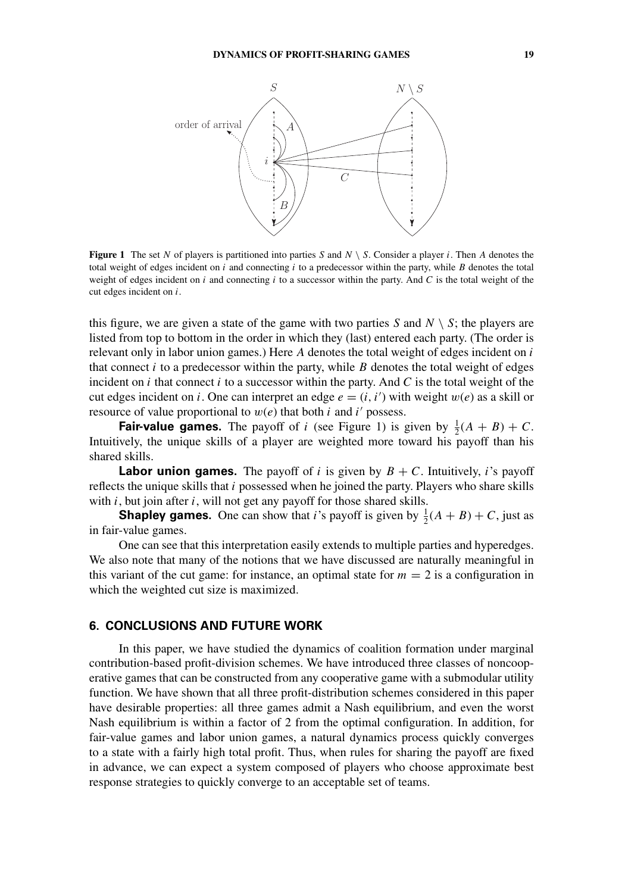

**Figure 1** The set N of players is partitioned into parties S and  $N \setminus S$ . Consider a player i. Then A denotes the total weight of edges incident on  $i$  and connecting  $i$  to a predecessor within the party, while  $B$  denotes the total weight of edges incident on i and connecting i to a successor within the party. And  $C$  is the total weight of the cut edges incident on i.

this figure, we are given a state of the game with two parties S and  $N \setminus S$ ; the players are listed from top to bottom in the order in which they (last) entered each party. (The order is relevant only in labor union games.) Here  $A$  denotes the total weight of edges incident on  $i$ that connect  $i$  to a predecessor within the party, while  $B$  denotes the total weight of edges incident on  $i$  that connect  $i$  to a successor within the party. And  $C$  is the total weight of the cut edges incident on *i*. One can interpret an edge  $e = (i, i')$  with weight  $w(e)$  as a skill or resource of value proportional to  $w(e)$  that both i and i' possess.

**Fair-value games.** The payoff of *i* (see Figure 1) is given by  $\frac{1}{2}(A + B) + C$ . Intuitively, the unique skills of a player are weighted more toward his payoff than his shared skills.

**Labor union games.** The payoff of i is given by  $B + C$ . Intuitively, i's payoff reflects the unique skills that i possessed when he joined the party. Players who share skills with  $i$ , but join after  $i$ , will not get any payoff for those shared skills.

**Shapley games.** One can show that *i*'s payoff is given by  $\frac{1}{2}(A + B) + C$ , just as in fair-value games.

One can see that this interpretation easily extends to multiple parties and hyperedges. We also note that many of the notions that we have discussed are naturally meaningful in this variant of the cut game: for instance, an optimal state for  $m = 2$  is a configuration in which the weighted cut size is maximized.

## **6. CONCLUSIONS AND FUTURE WORK**

In this paper, we have studied the dynamics of coalition formation under marginal contribution-based profit-division schemes. We have introduced three classes of noncooperative games that can be constructed from any cooperative game with a submodular utility function. We have shown that all three profit-distribution schemes considered in this paper have desirable properties: all three games admit a Nash equilibrium, and even the worst Nash equilibrium is within a factor of 2 from the optimal configuration. In addition, for fair-value games and labor union games, a natural dynamics process quickly converges to a state with a fairly high total profit. Thus, when rules for sharing the payoff are fixed in advance, we can expect a system composed of players who choose approximate best response strategies to quickly converge to an acceptable set of teams.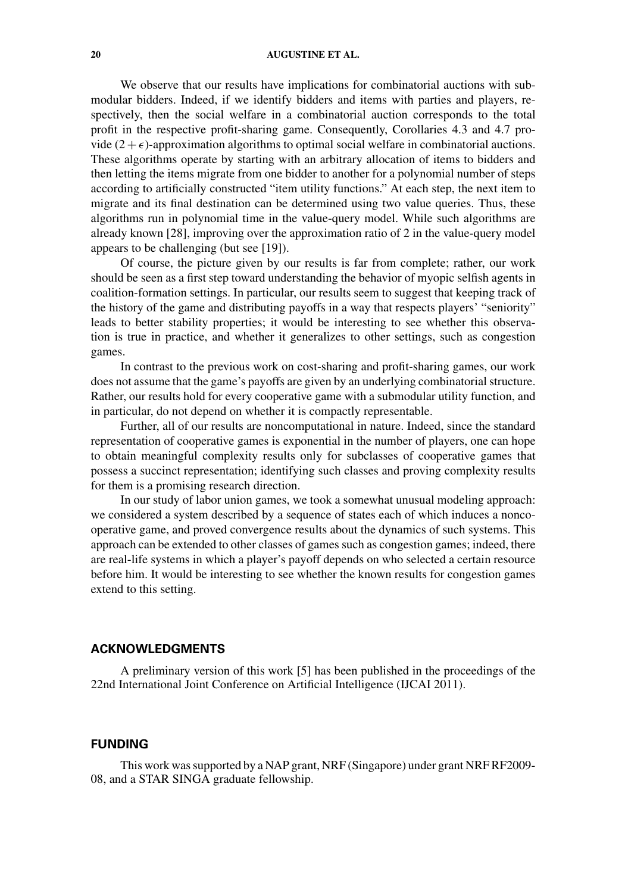We observe that our results have implications for combinatorial auctions with submodular bidders. Indeed, if we identify bidders and items with parties and players, respectively, then the social welfare in a combinatorial auction corresponds to the total profit in the respective profit-sharing game. Consequently, Corollaries 4.3 and 4.7 provide  $(2 + \epsilon)$ -approximation algorithms to optimal social welfare in combinatorial auctions. These algorithms operate by starting with an arbitrary allocation of items to bidders and then letting the items migrate from one bidder to another for a polynomial number of steps according to artificially constructed "item utility functions." At each step, the next item to migrate and its final destination can be determined using two value queries. Thus, these algorithms run in polynomial time in the value-query model. While such algorithms are already known [28], improving over the approximation ratio of 2 in the value-query model appears to be challenging (but see [19]).

Of course, the picture given by our results is far from complete; rather, our work should be seen as a first step toward understanding the behavior of myopic selfish agents in coalition-formation settings. In particular, our results seem to suggest that keeping track of the history of the game and distributing payoffs in a way that respects players' "seniority" leads to better stability properties; it would be interesting to see whether this observation is true in practice, and whether it generalizes to other settings, such as congestion games.

In contrast to the previous work on cost-sharing and profit-sharing games, our work does not assume that the game's payoffs are given by an underlying combinatorial structure. Rather, our results hold for every cooperative game with a submodular utility function, and in particular, do not depend on whether it is compactly representable.

Further, all of our results are noncomputational in nature. Indeed, since the standard representation of cooperative games is exponential in the number of players, one can hope to obtain meaningful complexity results only for subclasses of cooperative games that possess a succinct representation; identifying such classes and proving complexity results for them is a promising research direction.

In our study of labor union games, we took a somewhat unusual modeling approach: we considered a system described by a sequence of states each of which induces a noncooperative game, and proved convergence results about the dynamics of such systems. This approach can be extended to other classes of games such as congestion games; indeed, there are real-life systems in which a player's payoff depends on who selected a certain resource before him. It would be interesting to see whether the known results for congestion games extend to this setting.

# **ACKNOWLEDGMENTS**

A preliminary version of this work [5] has been published in the proceedings of the 22nd International Joint Conference on Artificial Intelligence (IJCAI 2011).

## **FUNDING**

This work was supported by a NAP grant, NRF (Singapore) under grant NRF RF2009- 08, and a STAR SINGA graduate fellowship.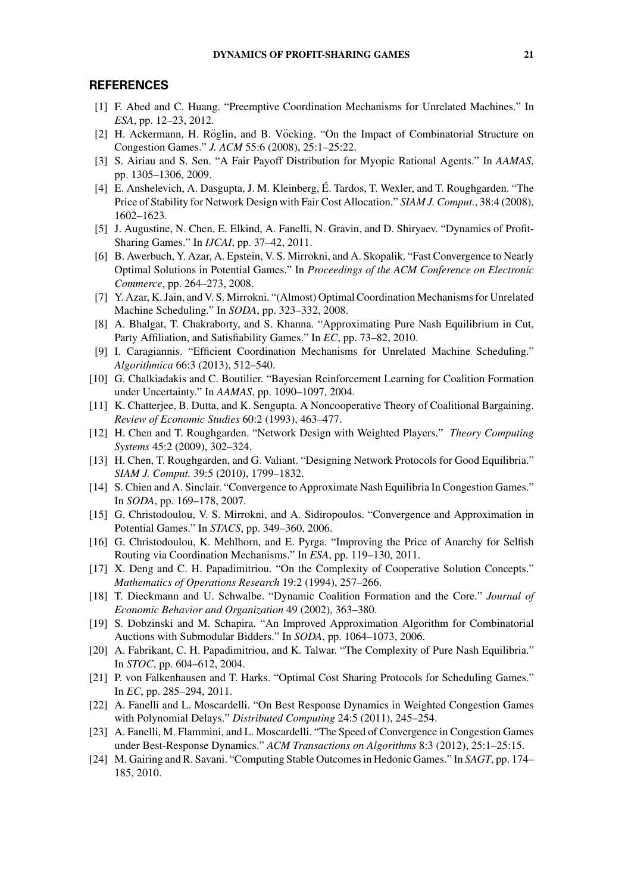## **REFERENCES**

- [1] F. Abed and C. Huang. "Preemptive Coordination Mechanisms for Unrelated Machines." In *ESA*, pp. 12–23, 2012.
- [2] H. Ackermann, H. Röglin, and B. Vöcking. "On the Impact of Combinatorial Structure on Congestion Games." *J. ACM* 55:6 (2008), 25:1–25:22.
- [3] S. Airiau and S. Sen. "A Fair Payoff Distribution for Myopic Rational Agents." In *AAMAS*, pp. 1305–1306, 2009.
- [4] E. Anshelevich, A. Dasgupta, J. M. Kleinberg, E. Tardos, T. Wexler, and T. Roughgarden. "The ´ Price of Stability for Network Design with Fair Cost Allocation." *SIAM J. Comput.*, 38:4 (2008), 1602–1623.
- [5] J. Augustine, N. Chen, E. Elkind, A. Fanelli, N. Gravin, and D. Shiryaev. "Dynamics of Profit-Sharing Games." In *IJCAI*, pp. 37–42, 2011.
- [6] B. Awerbuch, Y. Azar, A. Epstein, V. S. Mirrokni, and A. Skopalik. "Fast Convergence to Nearly Optimal Solutions in Potential Games." In *Proceedings of the ACM Conference on Electronic Commerce*, pp. 264–273, 2008.
- [7] Y. Azar, K. Jain, and V. S. Mirrokni. "(Almost) Optimal Coordination Mechanisms for Unrelated Machine Scheduling." In *SODA*, pp. 323–332, 2008.
- [8] A. Bhalgat, T. Chakraborty, and S. Khanna. "Approximating Pure Nash Equilibrium in Cut, Party Affiliation, and Satisfiability Games." In *EC*, pp. 73–82, 2010.
- [9] I. Caragiannis. "Efficient Coordination Mechanisms for Unrelated Machine Scheduling." *Algorithmica* 66:3 (2013), 512–540.
- [10] G. Chalkiadakis and C. Boutilier. "Bayesian Reinforcement Learning for Coalition Formation under Uncertainty." In *AAMAS*, pp. 1090–1097, 2004.
- [11] K. Chatterjee, B. Dutta, and K. Sengupta. A Noncooperative Theory of Coalitional Bargaining. *Review of Economic Studies* 60:2 (1993), 463–477.
- [12] H. Chen and T. Roughgarden. "Network Design with Weighted Players." *Theory Computing Systems* 45:2 (2009), 302–324.
- [13] H. Chen, T. Roughgarden, and G. Valiant. "Designing Network Protocols for Good Equilibria." *SIAM J. Comput.* 39:5 (2010), 1799–1832.
- [14] S. Chien and A. Sinclair. "Convergence to Approximate Nash Equilibria In Congestion Games." In *SODA*, pp. 169–178, 2007.
- [15] G. Christodoulou, V. S. Mirrokni, and A. Sidiropoulos. "Convergence and Approximation in Potential Games." In *STACS*, pp. 349–360, 2006.
- [16] G. Christodoulou, K. Mehlhorn, and E. Pyrga. "Improving the Price of Anarchy for Selfish Routing via Coordination Mechanisms." In *ESA*, pp. 119–130, 2011.
- [17] X. Deng and C. H. Papadimitriou. "On the Complexity of Cooperative Solution Concepts." *Mathematics of Operations Research* 19:2 (1994), 257–266.
- [18] T. Dieckmann and U. Schwalbe. "Dynamic Coalition Formation and the Core." *Journal of Economic Behavior and Organization* 49 (2002), 363–380.
- [19] S. Dobzinski and M. Schapira. "An Improved Approximation Algorithm for Combinatorial Auctions with Submodular Bidders." In *SODA*, pp. 1064–1073, 2006.
- [20] A. Fabrikant, C. H. Papadimitriou, and K. Talwar. "The Complexity of Pure Nash Equilibria." In *STOC*, pp. 604–612, 2004.
- [21] P. von Falkenhausen and T. Harks. "Optimal Cost Sharing Protocols for Scheduling Games." In *EC*, pp. 285–294, 2011.
- [22] A. Fanelli and L. Moscardelli. "On Best Response Dynamics in Weighted Congestion Games with Polynomial Delays." *Distributed Computing* 24:5 (2011), 245–254.
- [23] A. Fanelli, M. Flammini, and L. Moscardelli. "The Speed of Convergence in Congestion Games under Best-Response Dynamics." *ACM Transactions on Algorithms* 8:3 (2012), 25:1–25:15.
- [24] M. Gairing and R. Savani. "Computing Stable Outcomes in Hedonic Games." In *SAGT*, pp. 174– 185, 2010.